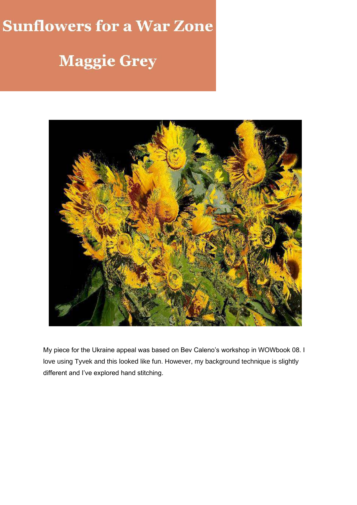## **Sunflowers for a War Zone**

## **Maggie Grey**



My piece for the Ukraine appeal was based on Bev Caleno's workshop in WOWbook 08. I love using Tyvek and this looked like fun. However, my background technique is slightly different and I've explored hand stitching.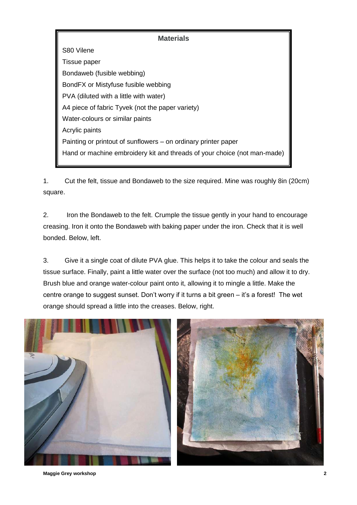## **Materials**

S80 Vilene Tissue paper Bondaweb (fusible webbing) BondFX or Mistyfuse fusible webbing PVA (diluted with a little with water) A4 piece of fabric Tyvek (not the paper variety) Water-colours or similar paints Acrylic paints Painting or printout of sunflowers – on ordinary printer paper Hand or machine embroidery kit and threads of your choice (not man-made)

1. Cut the felt, tissue and Bondaweb to the size required. Mine was roughly 8in (20cm) square.

2. Iron the Bondaweb to the felt. Crumple the tissue gently in your hand to encourage creasing. Iron it onto the Bondaweb with baking paper under the iron. Check that it is well bonded. Below, left.

3. Give it a single coat of dilute PVA glue. This helps it to take the colour and seals the tissue surface. Finally, paint a little water over the surface (not too much) and allow it to dry. Brush blue and orange water-colour paint onto it, allowing it to mingle a little. Make the centre orange to suggest sunset. Don't worry if it turns a bit green – it's a forest! The wet orange should spread a little into the creases. Below, right.



**Maggie Grey workshop 2**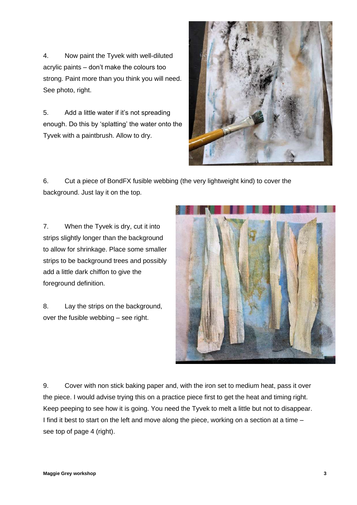4. Now paint the Tyvek with well-diluted acrylic paints – don't make the colours too strong. Paint more than you think you will need. See photo, right.

5. Add a little water if it's not spreading enough. Do this by 'splatting' the water onto the Tyvek with a paintbrush. Allow to dry.



6. Cut a piece of BondFX fusible webbing (the very lightweight kind) to cover the background. Just lay it on the top.

7. When the Tyvek is dry, cut it into strips slightly longer than the background to allow for shrinkage. Place some smaller strips to be background trees and possibly add a little dark chiffon to give the foreground definition.

8. Lay the strips on the background, over the fusible webbing – see right.



9. Cover with non stick baking paper and, with the iron set to medium heat, pass it over the piece. I would advise trying this on a practice piece first to get the heat and timing right. Keep peeping to see how it is going. You need the Tyvek to melt a little but not to disappear. I find it best to start on the left and move along the piece, working on a section at a time – see top of page 4 (right).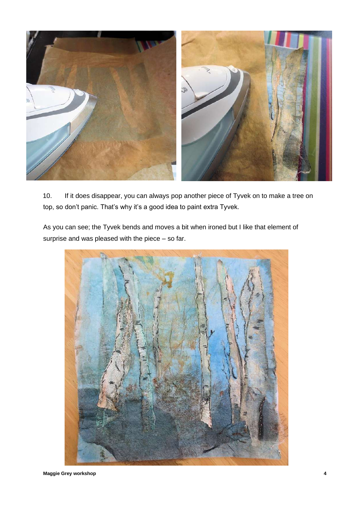

10. If it does disappear, you can always pop another piece of Tyvek on to make a tree on top, so don't panic. That's why it's a good idea to paint extra Tyvek.

As you can see; the Tyvek bends and moves a bit when ironed but I like that element of surprise and was pleased with the piece – so far.

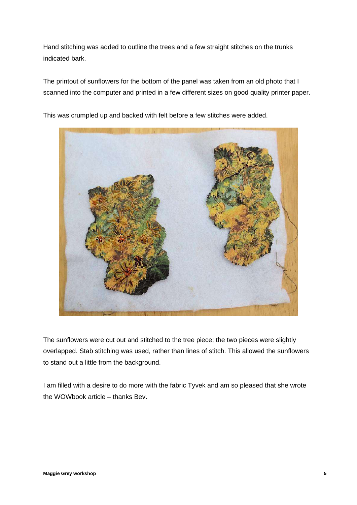Hand stitching was added to outline the trees and a few straight stitches on the trunks indicated bark.

The printout of sunflowers for the bottom of the panel was taken from an old photo that I scanned into the computer and printed in a few different sizes on good quality printer paper.



This was crumpled up and backed with felt before a few stitches were added.

The sunflowers were cut out and stitched to the tree piece; the two pieces were slightly overlapped. Stab stitching was used, rather than lines of stitch. This allowed the sunflowers to stand out a little from the background.

I am filled with a desire to do more with the fabric Tyvek and am so pleased that she wrote the WOWbook article – thanks Bev.